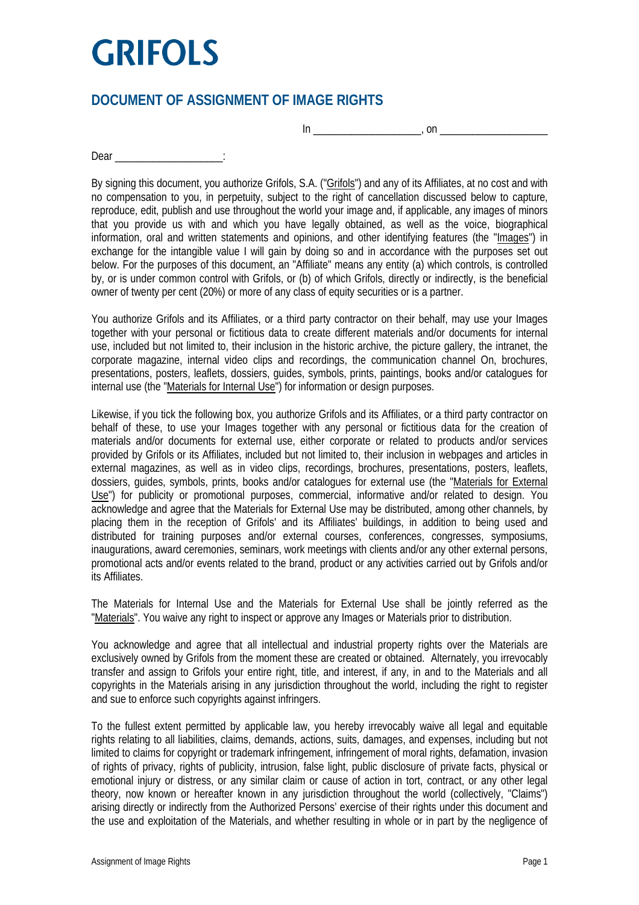## **GRIFOLS**

## **DOCUMENT OF ASSIGNMENT OF IMAGE RIGHTS**

 $\ln$   $\frac{1}{\sqrt{2\pi}}$  on  $\frac{1}{\sqrt{2\pi}}$ 

Dear in the contract of the contract of the contract of the contract of the contract of the contract of the contract of the contract of the contract of the contract of the contract of the contract of the contract of the co

By signing this document, you authorize Grifols, S.A. ("Grifols") and any of its Affiliates, at no cost and with no compensation to you, in perpetuity, subject to the right of cancellation discussed below to capture, reproduce, edit, publish and use throughout the world your image and, if applicable, any images of minors that you provide us with and which you have legally obtained, as well as the voice, biographical information, oral and written statements and opinions, and other identifying features (the "Images") in exchange for the intangible value I will gain by doing so and in accordance with the purposes set out below. For the purposes of this document, an "Affiliate" means any entity (a) which controls, is controlled by, or is under common control with Grifols, or (b) of which Grifols, directly or indirectly, is the beneficial owner of twenty per cent (20%) or more of any class of equity securities or is a partner.

You authorize Grifols and its Affiliates, or a third party contractor on their behalf, may use your Images together with your personal or fictitious data to create different materials and/or documents for internal use, included but not limited to, their inclusion in the historic archive, the picture gallery, the intranet, the corporate magazine, internal video clips and recordings, the communication channel On, brochures, presentations, posters, leaflets, dossiers, guides, symbols, prints, paintings, books and/or catalogues for internal use (the "Materials for Internal Use") for information or design purposes.

Likewise, if you tick the following box, you authorize Grifols and its Affiliates, or a third party contractor on behalf of these, to use your Images together with any personal or fictitious data for the creation of materials and/or documents for external use, either corporate or related to products and/or services provided by Grifols or its Affiliates, included but not limited to, their inclusion in webpages and articles in external magazines, as well as in video clips, recordings, brochures, presentations, posters, leaflets, dossiers, guides, symbols, prints, books and/or catalogues for external use (the "Materials for External Use") for publicity or promotional purposes, commercial, informative and/or related to design. You acknowledge and agree that the Materials for External Use may be distributed, among other channels, by placing them in the reception of Grifols' and its Affiliates' buildings, in addition to being used and distributed for training purposes and/or external courses, conferences, congresses, symposiums, inaugurations, award ceremonies, seminars, work meetings with clients and/or any other external persons, promotional acts and/or events related to the brand, product or any activities carried out by Grifols and/or its Affiliates.

The Materials for Internal Use and the Materials for External Use shall be jointly referred as the "Materials". You waive any right to inspect or approve any Images or Materials prior to distribution.

You acknowledge and agree that all intellectual and industrial property rights over the Materials are exclusively owned by Grifols from the moment these are created or obtained. Alternately, you irrevocably transfer and assign to Grifols your entire right, title, and interest, if any, in and to the Materials and all copyrights in the Materials arising in any jurisdiction throughout the world, including the right to register and sue to enforce such copyrights against infringers.

To the fullest extent permitted by applicable law, you hereby irrevocably waive all legal and equitable rights relating to all liabilities, claims, demands, actions, suits, damages, and expenses, including but not limited to claims for copyright or trademark infringement, infringement of moral rights, defamation, invasion of rights of privacy, rights of publicity, intrusion, false light, public disclosure of private facts, physical or emotional injury or distress, or any similar claim or cause of action in tort, contract, or any other legal theory, now known or hereafter known in any jurisdiction throughout the world (collectively, "Claims") arising directly or indirectly from the Authorized Persons' exercise of their rights under this document and the use and exploitation of the Materials, and whether resulting in whole or in part by the negligence of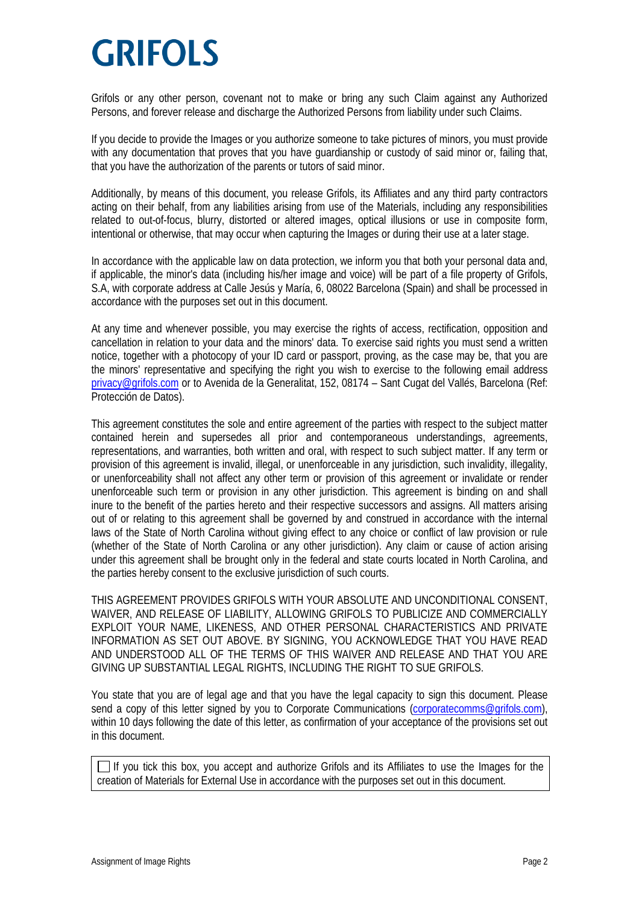## **GRIFOLS**

Grifols or any other person, covenant not to make or bring any such Claim against any Authorized Persons, and forever release and discharge the Authorized Persons from liability under such Claims.

If you decide to provide the Images or you authorize someone to take pictures of minors, you must provide with any documentation that proves that you have quardianship or custody of said minor or, failing that, that you have the authorization of the parents or tutors of said minor.

Additionally, by means of this document, you release Grifols, its Affiliates and any third party contractors acting on their behalf, from any liabilities arising from use of the Materials, including any responsibilities related to out-of-focus, blurry, distorted or altered images, optical illusions or use in composite form, intentional or otherwise, that may occur when capturing the Images or during their use at a later stage.

In accordance with the applicable law on data protection, we inform you that both your personal data and, if applicable, the minor's data (including his/her image and voice) will be part of a file property of Grifols, S.A, with corporate address at Calle Jesús y María, 6, 08022 Barcelona (Spain) and shall be processed in accordance with the purposes set out in this document.

At any time and whenever possible, you may exercise the rights of access, rectification, opposition and cancellation in relation to your data and the minors' data. To exercise said rights you must send a written notice, together with a photocopy of your ID card or passport, proving, as the case may be, that you are the minors' representative and specifying the right you wish to exercise to the following email address [privacy@grifols.com](mailto:privacy@grifols.com) or to Avenida de la Generalitat, 152, 08174 – Sant Cugat del Vallés, Barcelona (Ref: Protección de Datos).

This agreement constitutes the sole and entire agreement of the parties with respect to the subject matter contained herein and supersedes all prior and contemporaneous understandings, agreements, representations, and warranties, both written and oral, with respect to such subject matter. If any term or provision of this agreement is invalid, illegal, or unenforceable in any jurisdiction, such invalidity, illegality, or unenforceability shall not affect any other term or provision of this agreement or invalidate or render unenforceable such term or provision in any other jurisdiction. This agreement is binding on and shall inure to the benefit of the parties hereto and their respective successors and assigns. All matters arising out of or relating to this agreement shall be governed by and construed in accordance with the internal laws of the State of North Carolina without giving effect to any choice or conflict of law provision or rule (whether of the State of North Carolina or any other jurisdiction). Any claim or cause of action arising under this agreement shall be brought only in the federal and state courts located in North Carolina, and the parties hereby consent to the exclusive jurisdiction of such courts.

THIS AGREEMENT PROVIDES GRIFOLS WITH YOUR ABSOLUTE AND UNCONDITIONAL CONSENT, WAIVER, AND RELEASE OF LIABILITY, ALLOWING GRIFOLS TO PUBLICIZE AND COMMERCIALLY EXPLOIT YOUR NAME, LIKENESS, AND OTHER PERSONAL CHARACTERISTICS AND PRIVATE INFORMATION AS SET OUT ABOVE. BY SIGNING, YOU ACKNOWLEDGE THAT YOU HAVE READ AND UNDERSTOOD ALL OF THE TERMS OF THIS WAIVER AND RELEASE AND THAT YOU ARE GIVING UP SUBSTANTIAL LEGAL RIGHTS, INCLUDING THE RIGHT TO SUE GRIFOLS.

You state that you are of legal age and that you have the legal capacity to sign this document. Please send a copy of this letter signed by you to Corporate Communications [\(corporatecomms@grifols.com\)](mailto:corporatecomms@grifols.com), within 10 days following the date of this letter, as confirmation of your acceptance of the provisions set out in this document.

If you tick this box, you accept and authorize Grifols and its Affiliates to use the Images for the creation of Materials for External Use in accordance with the purposes set out in this document.